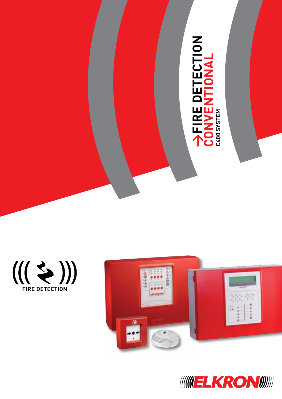





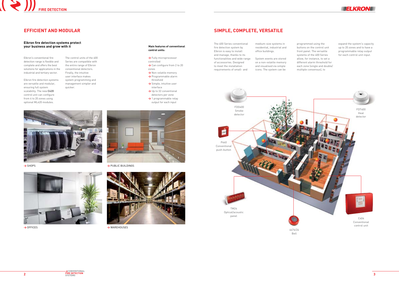



# **SIMPLE, COMPLETE, VERSATILE**

The 400 Series conventional fire detection system by Elkron is easy to install and manage, thanks to its functionalities and wide range of accessories. Designed to meet the installation requirements of small- and

medium-size systems in residential, industrial and office buildings.

System events are stored on a non-volatile memory and visualised via simple icons. The system can be

programmed using the buttons on the control unit front panel. The versatile systems of the 400 Series allow, for instance, to set a different alarm threshold for each zone (single and double/ multiple consensus), to

control unit

4476/24 Bell



expand the system's capacity up to 20 zones and to have a programmable relay output for each control unit input.

# **EFFICIENT AND MODULAR**

## **Elkron fire detection systems protect your business and grow with it**

**>** SHOPS



**>** OFFICES



**>** PUBLIC BUILDINGS



**>** WAREHOUSES

Elkron's conventional fire detection range is flexible and complete and offers the best solutions for applications in the industrial and tertiary sector.

Elkron fire detection systems are versatile and modular, ensuring full system scalability. The new **C420** control unit can configure from 4 to 20 zones using optional ML420 modules.

The control units of the 400 Series are compatible with the entire range of Elkron conventional detectors. Finally, the intuitive user interface makes system programming and management simpler and quicker.

## **Main features of conventional control units:**

- **>** Fully microprocessor controlled
- → Can configure from 2 to 20 zones
- **>** Non-volatile memory **>** Programmable alarm
- threshold **>** Simple, intuitive user interface
- → Up to 32 conventional detectors per zone
- **>** 1 programmable relay output for each input

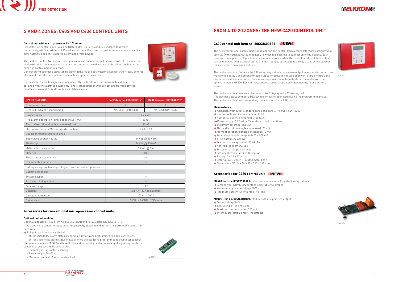





## **C420 control unit item no. 80SC8600121**

The new conventional control unit is modular and can control from 4 zones (standard configuration) up to 20 (with optional ML420 modules), to which it is possible to connect up to 512 devices. Each zone can manage up to 32 points or conventional devices, while the overall number of devices that can be managed by the control unit is 512. Each zone is associated to a relay that is activated when the zone enters an alarm condition.

The control unit also features the following relay outputs: one alarm output, one sounder output, one malfunction output, one programmable output for activation in case of power failure or exclusions, one supervised sounder output. Four more supervised sounder outputs can be added with the optional module MR420. Each of these outputs can be associated independently to one or more zones.

The control unit features an alphanumeric 4x40 display and a 12-key keypad. It is also possible to connect a PS2 keypad for easier user input during the programming phase. The control unit features an event log that can store up to 1000 events.

#### **Main features**

- **>** Compliant with EN54 standard part 2 and part 4. No. 0051-CDP-0382
- **>**Number of lines: 4 expandable up to 20
- **>**Number of zones: 4 expandable up to 20
- **>**Power supply: 25.5 Vdc ± 5% under no load conditions
- **>** Maximum external load: 3 A
- **>**Alarm absorption (single consensus): 20 mA
- **>**Alarm absorption (double consensus): 40 mA
- **>**Supervised sounder output: 24 Vdc 500 mA
- → Field output: 24 Vdc 1A
- → Malfunction relay output: 30 Vdc 1A
- **>**Non-volatile memory: yes
- **>**Exclusion of single lines: yes
- **>**Info visualisation: 40x4 LCD display
- **>**Battery: 2 x 12 V 12 A
- **>**Material: ABS Cover Painted metal base
- **>**Dimensions (W x H x D): 490 x 350 x 149 mm

## **Accessories for C420 control unit**

**ML420 item no. 80SC0910121:** Extension module with 4 inputs/ 4 relay outputs

- **>**Contact type: NO/NC dry contact, selectable via jumper
- **>**Maximum applicable voltage 30 Vdc
- **>**Maximum current 1A with resistive load

**MR420 item no. 80SC0810121:** Module with 4 supervised outputs

- **>**Output voltage 24 Vdc
- **>**3300 Ω end-of-line resistor
- **>** Maximum output current 250 mA
- **>** Internal protection circuit resettable

# **FROM 4 TO 20 ZONES: THE NEW C420 CONTROL UNIT**

C420



### **Control unit with micro processor for 2/4 zones**

Fire detection control units C402 and C404 control up to two and four independent zones, respectively, with a maximum of 32 devices per zone. Each line is considered as a zone and can be either activated or deactivated via a command from keypad.

The control unit has two outputs: one general alarm sounder output activated with at least one zone in alarm status, and one general malfunction output activated when a malfunction condition occurs either on control unit or in a zone.

General alarm sounder output can be either activated or deactivated via keypad. Other relay, general alarm and zone alarm outputs are available on optional relay board.

It is possible, for each single zone independently, to decide whether alarm notification is to be obtained with one alarmed device only (single consensus) or with at least two alarmed devices (double consensus). This allows to avoid false alarms.

## **Accessories for conventional microprocessor control units**

#### **Optional output module**

Optional modules MR402 (item no. 80SC5410121) and MR404 (item no. 80SC9810121) have 2 and 4 dry contact relay outputs, respectively, allowing to differentiate alarm notifications from each zone.

- **>** Relays in each zone are activated:
- at transition to the alarm status of one single device (zone programmed to single consensus);
- at transition to the alarm status of two or more devices (zone programmed to double consensus).
- **>** Optional modules MR402 and MR404 also feature one dry contact relay output signalling the alarm condition of any zone in the control unit.
- Contact type: dry contact exchange.
- Power supply: 26.4 Vdc.
- Maximum current 1A with resistive load



| <b>TIONS</b>                                    | C402 item no. 80SC8000121  | C404 item no. 80SC8400121 |  |
|-------------------------------------------------|----------------------------|---------------------------|--|
| zones                                           | $\overline{2}$             | 4                         |  |
| 54 part 2 and part 4                            | No. 0051-CPD-0338          | No. 0051-CPD-0337         |  |
| ly                                              | 26.4 Vdc                   |                           |  |
| absorption (single consensus): mA               | 20mA                       |                           |  |
| rption (double consensus): mA                   | 40mA                       |                           |  |
| urrent / Maximum external load                  | $1.9$ A/1.6 A              |                           |  |
| shold balanced lines                            | $\bullet$                  |                           |  |
| sounder output                                  | 24 Vdc @ 500 mA            |                           |  |
|                                                 | 24 Vdc @ 500 mA            |                           |  |
| relay output                                    | 24 Vdc @ 1 A<br><b>ABS</b> |                           |  |
|                                                 |                            |                           |  |
| out protection                                  | ٠                          |                           |  |
| memory                                          | $\bullet$                  |                           |  |
| ge control depending on environment temperature | ٠                          |                           |  |
| ge cut                                          | $\bullet$                  |                           |  |
| bad                                             | ٠                          |                           |  |
| single lines                                    | $\bullet$                  |                           |  |
| iqs                                             | LED                        |                           |  |

# **2 AND 4 zones: C402 and C404 control units**

| <b>SPECIFICATIONS</b>                                       | C402 item no. 80SC8000121    | C404 item no. 80SC8400121 |  |  |
|-------------------------------------------------------------|------------------------------|---------------------------|--|--|
| Number of zones                                             | $\overline{2}$               | 4                         |  |  |
| Certified EN54 part 2 and part 4                            | No. 0051-CPD-0338            | No. 0051-CPD-0337         |  |  |
| Power supply                                                | 26.4 Vdc                     |                           |  |  |
| Pre-alarm absorption (single consensus): mA                 |                              | 20mA                      |  |  |
| Alarm absorption (double consensus): mA                     |                              | 40mA                      |  |  |
| Maximum current / Maximum external load                     |                              | $1.9$ A/1.6 A             |  |  |
| Double threshold balanced lines                             | $\bullet$                    |                           |  |  |
| Supervised sounder output                                   |                              | 24 Vdc @ 500 mA           |  |  |
| Field output                                                | 24 Vdc @ 500 mA              |                           |  |  |
| Malfunction relay output                                    | 24 Vdc @ 1 A                 |                           |  |  |
| Material                                                    | <b>ABS</b>                   |                           |  |  |
| Electric output protection                                  |                              | $\bullet$                 |  |  |
| Non-volatile memory                                         | $\bullet$                    |                           |  |  |
| Battery charge control depending on environment temperature | ٠                            |                           |  |  |
| Battery charge cut                                          | $\bullet$                    |                           |  |  |
| System keypad                                               | $\bullet$                    |                           |  |  |
| Exclusion of single lines                                   | $\bullet$                    |                           |  |  |
| Zone warnings                                               | LED                          |                           |  |  |
| <b>Batteries</b>                                            | 2 x 7 A - 12 Vdc batteries   |                           |  |  |
| Operating temperature                                       | $-5^{\circ}$ C $\div$ +50° C |                           |  |  |
| Dimensions                                                  | 340(L) x 240(H) x 96(D) mm   |                           |  |  |



MR402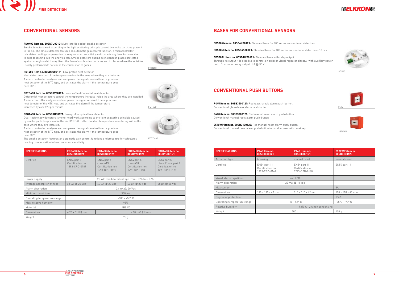







**SD500 item no. 80SD4K00121:** Standard base for 400 series conventional detectors

**SD500M item no. 80SD4S00121:** Standard base for 400 series conventional detectors - 10 pcs

**SD500RL item no. 80SD1W00121:** Standard base with relay output Through its output it is possible to control an outdoor visual repeater directly (with auxiliary power unit). Dry contact relay output: 1 A @ 30 V

# **Bases for conventional sensors**

| <b>SPECIFICATIONS</b>       | P445 Item no.<br>80SB3500121                        | P440 Item no.<br>80SB3800121                        | 2570WP item no.<br>80SB3100123 |
|-----------------------------|-----------------------------------------------------|-----------------------------------------------------|--------------------------------|
| Actuation type              | breaking                                            | manual reset                                        | manual reset                   |
| Certified                   | EN54 part 11<br>Certification no.:<br>1293-CPD-0169 | EN54 part 11<br>Certification no.:<br>1293-CPD-0168 | EN54 part 11                   |
| Visual alarm repetition     | red LED                                             |                                                     |                                |
| Alarm absorption            | 20 mA @ 18 Vdc                                      |                                                     |                                |
| Max current                 |                                                     |                                                     | 3A                             |
| Dimensions                  | $110 \times 110 \times 42$ mm                       | 110 x 110 x 42 mm                                   | 110 x 110 x 43 mm              |
| Degree of protection        |                                                     |                                                     | IP67                           |
| Operating temperature range | $-10 + 55^{\circ}$ C                                |                                                     | $-25^{\circ}$ C + 70° C        |
| Relative humidity           |                                                     |                                                     |                                |
| Weight                      | 100q                                                |                                                     | 110q                           |

SD500

**P445 item no. 80SB3500121:** Red glass-break alarm push-button. Conventional glass-break alarm push-button

**P440 item no. 80SB3800121:** Red manual reset alarm push-button. Conventional manual reset alarm push-button

**2570WP item no. 80SB3100123:** Red manual reset alarm push-button. Conventional manual reset alarm push-button for outdoor use, with reset key

# **CONVENTIONAL PUSH BUTTONS**





2570WP

## **FDO400 item no. 80SD7U00121:** Low-profile optical smoke detector

Smoke detectors work according to the light scattering principle caused by smoke particles present in the air. The smoke detector features an automatic gain control function; a microcontroller calculates reading compensation to keep constant sensitivity and corrects any level increase due to dust depositing into the analysis cell. Smoke detectors should be installed in places protected against draughts which may divert the flow of combustion particles and in places where the activities usually performed do not cause the combustion of gases.

**FDT400 item no. 80SD8U00121:** Low-profile heat detector

Heat detectors control the temperature inside the area where they are installed. A micro controller analyses and compares the signal received from a precision heat detector of the NTC type, and activates the alarm if the temperature goes

over 58°C.

**FDTD400 item no. 80SD1V00121:** Low-profile differential heat detector

Differential heat detectors control the temperature increase inside the area where they are installed.

A micro controller analyses and compares the signal received from a precision heat detector of the NTC type, and activates the alarm if the temperature

increases by over 5°C per minute.

**FDOT400 item no. 80SD9U00121:** Low-profile optical heat detector

Dual-technology detectors (smoke-heat) work according to the light scattering principle caused by smoke particles present in the air (TYNDALL effect) and on temperature monitoring within the

area where they are installed.

A micro controller analyses and compares the signal received from a precision heat detector of the NTC type, and activates the alarm if the temperature goes

over 58°C.

The smoke detector features an automatic gain control function; a microcontroller calculates



reading compensation to keep constant sensitivity.

FDO400



FDT400

FDTD400

# **CONVENTIONAL SENSORS**

| <b>SPECIFICATIONS</b>       | FD0400 item no.<br>80SD7U00121                     | FDT400 item no.<br>80SD8U00121                                  | FDTD400 item no.<br>80SD1V00121                                 | FDOT400 item no.<br>80SD9U00121                                           |
|-----------------------------|----------------------------------------------------|-----------------------------------------------------------------|-----------------------------------------------------------------|---------------------------------------------------------------------------|
| Certified                   | EN54 part 7<br>Certification no.:<br>1293-CPD-0189 | EN54 part 5<br>class A1S<br>Certification no.:<br>1293-CPD-0179 | EN54 part 5<br>class A1R<br>Certification no.:<br>1293-CPD-0180 | EN54 part 5<br>class A1 and part 7<br>Certification no.:<br>1293-CPD-0178 |
| Power supply                | 20 Vdc (modulated voltage from -15% to +10%)       |                                                                 |                                                                 |                                                                           |
| Average absorption at rest  | 65 µA @ 20 Vdc                                     | 40 µA @ 20 Vdc                                                  | 40 µA @ 20 Vdc                                                  | 65 µA @ 20 Vdc                                                            |
| Alarm absorption            | 23 mA @ 20 Vdc                                     |                                                                 |                                                                 |                                                                           |
| Minimum reset time          | $300 \text{ ms}$                                   |                                                                 |                                                                 |                                                                           |
| Operating temperature range | $-10^{\circ}$ ÷ +55° C                             |                                                                 |                                                                 |                                                                           |
| Max. relative humidity      | 93%                                                |                                                                 |                                                                 |                                                                           |
| Material                    | ABS V <sub>0</sub>                                 |                                                                 |                                                                 |                                                                           |
| <b>Dimensions</b>           | ø 90 x 31 (H) mm<br>$\varnothing$ 90 x 40 (H) mm   |                                                                 |                                                                 |                                                                           |
| Weight                      | 70q                                                |                                                                 |                                                                 |                                                                           |